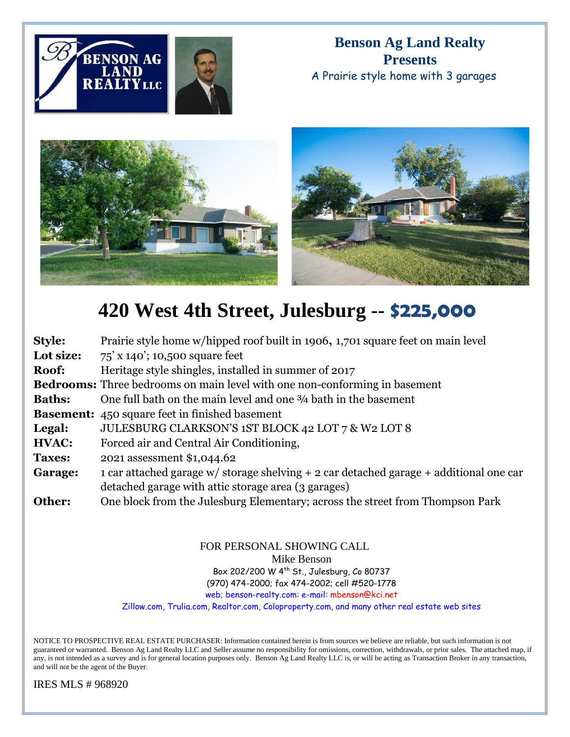

**Benson Ag Land Realty Presents** A Prairie style home with 3 garages



## **420 West 4th Street, Julesburg -- \$225,000**

| Style:        | Prairie style home w/hipped roof built in 1906, 1,701 square feet on main level              |
|---------------|----------------------------------------------------------------------------------------------|
| Lot size:     | $75'$ x 140'; 10,500 square feet                                                             |
| Roof:         | Heritage style shingles, installed in summer of 2017                                         |
|               | <b>Bedrooms:</b> Three bedrooms on main level with one non-conforming in basement            |
| <b>Baths:</b> | One full bath on the main level and one 34 bath in the basement                              |
|               | <b>Basement:</b> 450 square feet in finished basement                                        |
| Legal:        | JULESBURG CLARKSON'S 1ST BLOCK 42 LOT 7 & W2 LOT 8                                           |
| HVAC:         | Forced air and Central Air Conditioning,                                                     |
| <b>Taxes:</b> | 2021 assessment \$1,044.62                                                                   |
| Garage:       | 1 car attached garage $w/$ storage shelving $+$ 2 car detached garage $+$ additional one car |
|               | detached garage with attic storage area (3 garages)                                          |
| Other:        | One block from the Julesburg Elementary; across the street from Thompson Park                |

## FOR PERSONAL SHOWING CALL

Mike Benson

Box 202/200 W 4th St., Julesburg, Co 80737

(970) 474-2000; fax 474-2002; cell #520-1778

web; benson-realty.com: e-mail: mbenson@kci.net

Zillow.com, Trulia.com, Realtor.com, Coloproperty.com, and many other real estate web sites

NOTICE TO PROSPECTIVE REAL ESTATE PURCHASER: Information contained herein is from sources we believe are reliable, but such information is not guaranteed or warranted. Benson Ag Land Realty LLC and Seller assume no responsibility for omissions, correction, withdrawals, or prior sales. The attached map, if any, is not intended as a survey and is for general location purposes only. Benson Ag Land Realty LLC is, or will be acting as Transaction Broker in any transaction, and will not be the agent of the Buyer.

IRES MLS # 968920